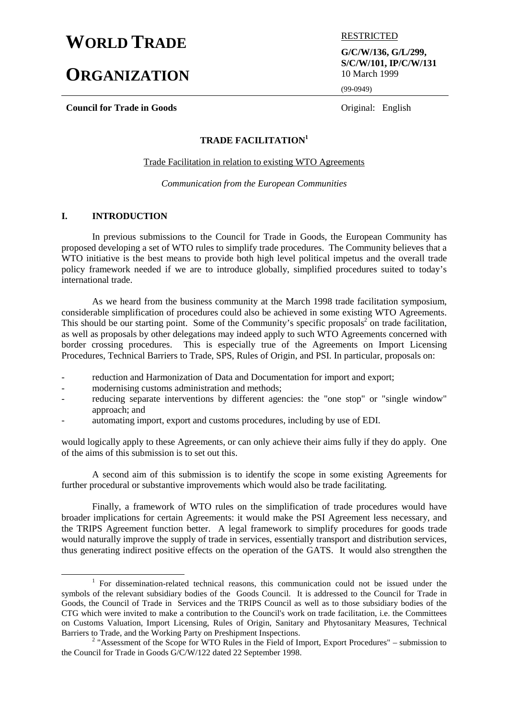# **WORLD TRADE ESTRICTED**

# **ORGANIZATION**

**Council for Trade in Goods** Original: English

**G/C/W/136, G/L/299, S/C/W/101, IP/C/W/131** 10 March 1999

(99-0949)

# **TRADE FACILITATION1**

Trade Facilitation in relation to existing WTO Agreements

*Communication from the European Communities*

# **I. INTRODUCTION**

In previous submissions to the Council for Trade in Goods, the European Community has proposed developing a set of WTO rules to simplify trade procedures. The Community believes that a WTO initiative is the best means to provide both high level political impetus and the overall trade policy framework needed if we are to introduce globally, simplified procedures suited to today's international trade.

As we heard from the business community at the March 1998 trade facilitation symposium, considerable simplification of procedures could also be achieved in some existing WTO Agreements. This should be our starting point. Some of the Community's specific proposals<sup>2</sup> on trade facilitation, as well as proposals by other delegations may indeed apply to such WTO Agreements concerned with border crossing procedures. This is especially true of the Agreements on Import Licensing Procedures, Technical Barriers to Trade, SPS, Rules of Origin, and PSI. In particular, proposals on:

- reduction and Harmonization of Data and Documentation for import and export;
- modernising customs administration and methods;
- reducing separate interventions by different agencies: the "one stop" or "single window" approach; and
- automating import, export and customs procedures, including by use of EDI.

would logically apply to these Agreements, or can only achieve their aims fully if they do apply. One of the aims of this submission is to set out this.

A second aim of this submission is to identify the scope in some existing Agreements for further procedural or substantive improvements which would also be trade facilitating.

Finally, a framework of WTO rules on the simplification of trade procedures would have broader implications for certain Agreements: it would make the PSI Agreement less necessary, and the TRIPS Agreement function better. A legal framework to simplify procedures for goods trade would naturally improve the supply of trade in services, essentially transport and distribution services, thus generating indirect positive effects on the operation of the GATS. It would also strengthen the

<sup>&</sup>lt;u>1</u>  $1$  For dissemination-related technical reasons, this communication could not be issued under the symbols of the relevant subsidiary bodies of the Goods Council. It is addressed to the Council for Trade in Goods, the Council of Trade in Services and the TRIPS Council as well as to those subsidiary bodies of the CTG which were invited to make a contribution to the Council's work on trade facilitation, i.e. the Committees on Customs Valuation, Import Licensing, Rules of Origin, Sanitary and Phytosanitary Measures, Technical Barriers to Trade, and the Working Party on Preshipment Inspections. <sup>2</sup>

 $2 \text{ "Assessment of the Scope for WTO Rules in the Field of Import, Expert Proceedings -- submission to$ the Council for Trade in Goods G/C/W/122 dated 22 September 1998.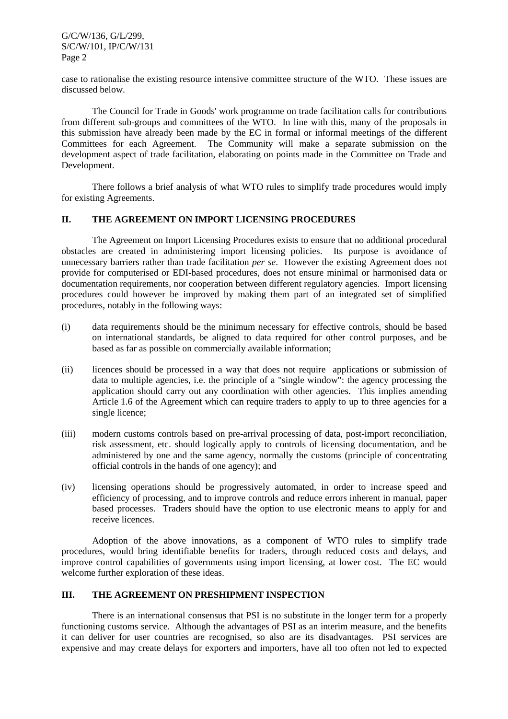G/C/W/136, G/L/299, S/C/W/101, IP/C/W/131 Page 2

case to rationalise the existing resource intensive committee structure of the WTO. These issues are discussed below.

The Council for Trade in Goods' work programme on trade facilitation calls for contributions from different sub-groups and committees of the WTO. In line with this, many of the proposals in this submission have already been made by the EC in formal or informal meetings of the different Committees for each Agreement. The Community will make a separate submission on the development aspect of trade facilitation, elaborating on points made in the Committee on Trade and Development.

There follows a brief analysis of what WTO rules to simplify trade procedures would imply for existing Agreements.

# **II. THE AGREEMENT ON IMPORT LICENSING PROCEDURES**

The Agreement on Import Licensing Procedures exists to ensure that no additional procedural obstacles are created in administering import licensing policies. Its purpose is avoidance of unnecessary barriers rather than trade facilitation *per se*. However the existing Agreement does not provide for computerised or EDI-based procedures, does not ensure minimal or harmonised data or documentation requirements, nor cooperation between different regulatory agencies. Import licensing procedures could however be improved by making them part of an integrated set of simplified procedures, notably in the following ways:

- (i) data requirements should be the minimum necessary for effective controls, should be based on international standards, be aligned to data required for other control purposes, and be based as far as possible on commercially available information;
- (ii) licences should be processed in a way that does not require applications or submission of data to multiple agencies, i.e. the principle of a "single window": the agency processing the application should carry out any coordination with other agencies. This implies amending Article 1.6 of the Agreement which can require traders to apply to up to three agencies for a single licence;
- (iii) modern customs controls based on pre-arrival processing of data, post-import reconciliation, risk assessment, etc. should logically apply to controls of licensing documentation, and be administered by one and the same agency, normally the customs (principle of concentrating official controls in the hands of one agency); and
- (iv) licensing operations should be progressively automated, in order to increase speed and efficiency of processing, and to improve controls and reduce errors inherent in manual, paper based processes. Traders should have the option to use electronic means to apply for and receive licences.

Adoption of the above innovations, as a component of WTO rules to simplify trade procedures, would bring identifiable benefits for traders, through reduced costs and delays, and improve control capabilities of governments using import licensing, at lower cost. The EC would welcome further exploration of these ideas.

#### **III. THE AGREEMENT ON PRESHIPMENT INSPECTION**

There is an international consensus that PSI is no substitute in the longer term for a properly functioning customs service. Although the advantages of PSI as an interim measure, and the benefits it can deliver for user countries are recognised, so also are its disadvantages. PSI services are expensive and may create delays for exporters and importers, have all too often not led to expected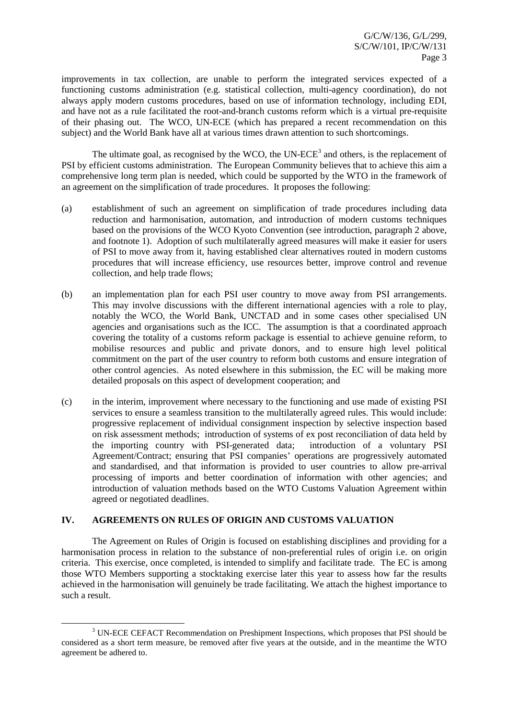improvements in tax collection, are unable to perform the integrated services expected of a functioning customs administration (e.g. statistical collection, multi-agency coordination), do not always apply modern customs procedures, based on use of information technology, including EDI, and have not as a rule facilitated the root-and-branch customs reform which is a virtual pre-requisite of their phasing out. The WCO, UN-ECE (which has prepared a recent recommendation on this subject) and the World Bank have all at various times drawn attention to such shortcomings.

The ultimate goal, as recognised by the WCO, the UN-ECE<sup>3</sup> and others, is the replacement of PSI by efficient customs administration. The European Community believes that to achieve this aim a comprehensive long term plan is needed, which could be supported by the WTO in the framework of an agreement on the simplification of trade procedures. It proposes the following:

- (a) establishment of such an agreement on simplification of trade procedures including data reduction and harmonisation, automation, and introduction of modern customs techniques based on the provisions of the WCO Kyoto Convention (see introduction, paragraph 2 above, and footnote 1). Adoption of such multilaterally agreed measures will make it easier for users of PSI to move away from it, having established clear alternatives routed in modern customs procedures that will increase efficiency, use resources better, improve control and revenue collection, and help trade flows;
- (b) an implementation plan for each PSI user country to move away from PSI arrangements. This may involve discussions with the different international agencies with a role to play, notably the WCO, the World Bank, UNCTAD and in some cases other specialised UN agencies and organisations such as the ICC. The assumption is that a coordinated approach covering the totality of a customs reform package is essential to achieve genuine reform, to mobilise resources and public and private donors, and to ensure high level political commitment on the part of the user country to reform both customs and ensure integration of other control agencies. As noted elsewhere in this submission, the EC will be making more detailed proposals on this aspect of development cooperation; and
- (c) in the interim, improvement where necessary to the functioning and use made of existing PSI services to ensure a seamless transition to the multilaterally agreed rules. This would include: progressive replacement of individual consignment inspection by selective inspection based on risk assessment methods; introduction of systems of ex post reconciliation of data held by the importing country with PSI-generated data; introduction of a voluntary PSI Agreement/Contract; ensuring that PSI companies' operations are progressively automated and standardised, and that information is provided to user countries to allow pre-arrival processing of imports and better coordination of information with other agencies; and introduction of valuation methods based on the WTO Customs Valuation Agreement within agreed or negotiated deadlines.

#### **IV. AGREEMENTS ON RULES OF ORIGIN AND CUSTOMS VALUATION**

The Agreement on Rules of Origin is focused on establishing disciplines and providing for a harmonisation process in relation to the substance of non-preferential rules of origin i.e. on origin criteria. This exercise, once completed, is intended to simplify and facilitate trade. The EC is among those WTO Members supporting a stocktaking exercise later this year to assess how far the results achieved in the harmonisation will genuinely be trade facilitating. We attach the highest importance to such a result.

 <sup>3</sup> UN-ECE CEFACT Recommendation on Preshipment Inspections, which proposes that PSI should be considered as a short term measure, be removed after five years at the outside, and in the meantime the WTO agreement be adhered to.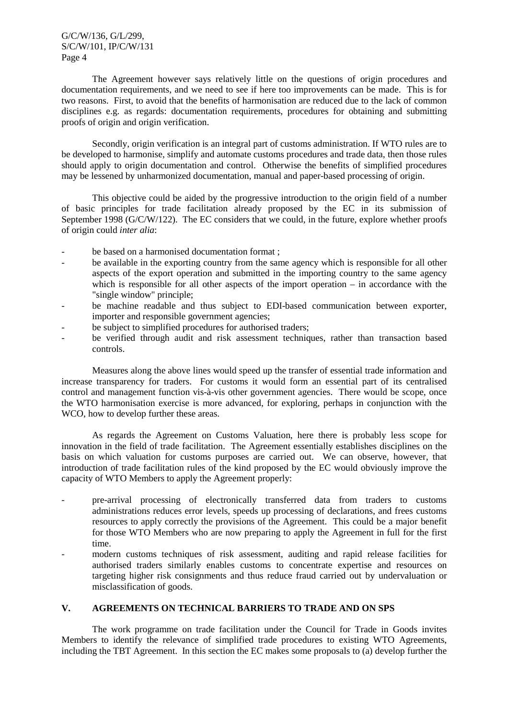#### G/C/W/136, G/L/299, S/C/W/101, IP/C/W/131 Page 4

The Agreement however says relatively little on the questions of origin procedures and documentation requirements, and we need to see if here too improvements can be made. This is for two reasons. First, to avoid that the benefits of harmonisation are reduced due to the lack of common disciplines e.g. as regards: documentation requirements, procedures for obtaining and submitting proofs of origin and origin verification.

Secondly, origin verification is an integral part of customs administration. If WTO rules are to be developed to harmonise, simplify and automate customs procedures and trade data, then those rules should apply to origin documentation and control. Otherwise the benefits of simplified procedures may be lessened by unharmonized documentation, manual and paper-based processing of origin.

This objective could be aided by the progressive introduction to the origin field of a number of basic principles for trade facilitation already proposed by the EC in its submission of September 1998 (G/C/W/122). The EC considers that we could, in the future, explore whether proofs of origin could *inter alia*:

- be based on a harmonised documentation format ;
- be available in the exporting country from the same agency which is responsible for all other aspects of the export operation and submitted in the importing country to the same agency which is responsible for all other aspects of the import operation – in accordance with the "single window" principle;
- be machine readable and thus subject to EDI-based communication between exporter, importer and responsible government agencies;
- be subject to simplified procedures for authorised traders;
- be verified through audit and risk assessment techniques, rather than transaction based controls.

Measures along the above lines would speed up the transfer of essential trade information and increase transparency for traders. For customs it would form an essential part of its centralised control and management function vis-à-vis other government agencies. There would be scope, once the WTO harmonisation exercise is more advanced, for exploring, perhaps in conjunction with the WCO, how to develop further these areas.

As regards the Agreement on Customs Valuation, here there is probably less scope for innovation in the field of trade facilitation. The Agreement essentially establishes disciplines on the basis on which valuation for customs purposes are carried out. We can observe, however, that introduction of trade facilitation rules of the kind proposed by the EC would obviously improve the capacity of WTO Members to apply the Agreement properly:

- pre-arrival processing of electronically transferred data from traders to customs administrations reduces error levels, speeds up processing of declarations, and frees customs resources to apply correctly the provisions of the Agreement. This could be a major benefit for those WTO Members who are now preparing to apply the Agreement in full for the first time.
- modern customs techniques of risk assessment, auditing and rapid release facilities for authorised traders similarly enables customs to concentrate expertise and resources on targeting higher risk consignments and thus reduce fraud carried out by undervaluation or misclassification of goods.

# **V. AGREEMENTS ON TECHNICAL BARRIERS TO TRADE AND ON SPS**

The work programme on trade facilitation under the Council for Trade in Goods invites Members to identify the relevance of simplified trade procedures to existing WTO Agreements, including the TBT Agreement. In this section the EC makes some proposals to (a) develop further the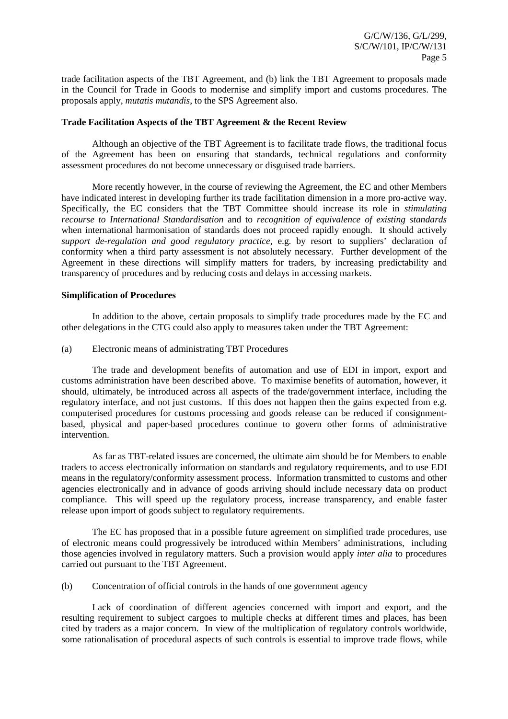trade facilitation aspects of the TBT Agreement, and (b) link the TBT Agreement to proposals made in the Council for Trade in Goods to modernise and simplify import and customs procedures. The proposals apply, *mutatis mutandis*, to the SPS Agreement also.

#### **Trade Facilitation Aspects of the TBT Agreement & the Recent Review**

Although an objective of the TBT Agreement is to facilitate trade flows, the traditional focus of the Agreement has been on ensuring that standards, technical regulations and conformity assessment procedures do not become unnecessary or disguised trade barriers.

More recently however, in the course of reviewing the Agreement, the EC and other Members have indicated interest in developing further its trade facilitation dimension in a more pro-active way. Specifically, the EC considers that the TBT Committee should increase its role in *stimulating recourse to International Standardisation* and to *recognition of equivalence of existing standards* when international harmonisation of standards does not proceed rapidly enough. It should actively *support de-regulation and good regulatory practice*, e.g. by resort to suppliers' declaration of conformity when a third party assessment is not absolutely necessary. Further development of the Agreement in these directions will simplify matters for traders, by increasing predictability and transparency of procedures and by reducing costs and delays in accessing markets.

#### **Simplification of Procedures**

In addition to the above, certain proposals to simplify trade procedures made by the EC and other delegations in the CTG could also apply to measures taken under the TBT Agreement:

(a) Electronic means of administrating TBT Procedures

The trade and development benefits of automation and use of EDI in import, export and customs administration have been described above. To maximise benefits of automation, however, it should, ultimately, be introduced across all aspects of the trade/government interface, including the regulatory interface, and not just customs. If this does not happen then the gains expected from e.g. computerised procedures for customs processing and goods release can be reduced if consignmentbased, physical and paper-based procedures continue to govern other forms of administrative intervention.

As far as TBT-related issues are concerned, the ultimate aim should be for Members to enable traders to access electronically information on standards and regulatory requirements, and to use EDI means in the regulatory/conformity assessment process. Information transmitted to customs and other agencies electronically and in advance of goods arriving should include necessary data on product compliance. This will speed up the regulatory process, increase transparency, and enable faster release upon import of goods subject to regulatory requirements.

The EC has proposed that in a possible future agreement on simplified trade procedures, use of electronic means could progressively be introduced within Members' administrations, including those agencies involved in regulatory matters. Such a provision would apply *inter alia* to procedures carried out pursuant to the TBT Agreement.

(b) Concentration of official controls in the hands of one government agency

Lack of coordination of different agencies concerned with import and export, and the resulting requirement to subject cargoes to multiple checks at different times and places, has been cited by traders as a major concern. In view of the multiplication of regulatory controls worldwide, some rationalisation of procedural aspects of such controls is essential to improve trade flows, while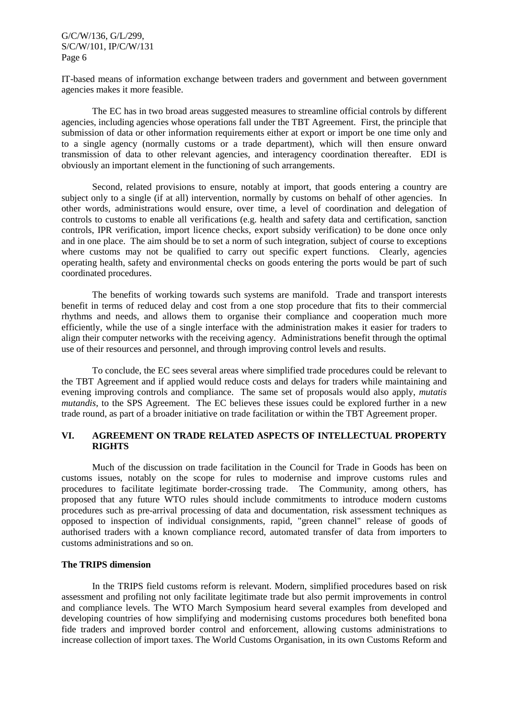IT-based means of information exchange between traders and government and between government agencies makes it more feasible.

The EC has in two broad areas suggested measures to streamline official controls by different agencies, including agencies whose operations fall under the TBT Agreement. First, the principle that submission of data or other information requirements either at export or import be one time only and to a single agency (normally customs or a trade department), which will then ensure onward transmission of data to other relevant agencies, and interagency coordination thereafter. EDI is obviously an important element in the functioning of such arrangements.

Second, related provisions to ensure, notably at import, that goods entering a country are subject only to a single (if at all) intervention, normally by customs on behalf of other agencies. In other words, administrations would ensure, over time, a level of coordination and delegation of controls to customs to enable all verifications (e.g. health and safety data and certification, sanction controls, IPR verification, import licence checks, export subsidy verification) to be done once only and in one place. The aim should be to set a norm of such integration, subject of course to exceptions where customs may not be qualified to carry out specific expert functions. Clearly, agencies operating health, safety and environmental checks on goods entering the ports would be part of such coordinated procedures.

The benefits of working towards such systems are manifold. Trade and transport interests benefit in terms of reduced delay and cost from a one stop procedure that fits to their commercial rhythms and needs, and allows them to organise their compliance and cooperation much more efficiently, while the use of a single interface with the administration makes it easier for traders to align their computer networks with the receiving agency. Administrations benefit through the optimal use of their resources and personnel, and through improving control levels and results.

To conclude, the EC sees several areas where simplified trade procedures could be relevant to the TBT Agreement and if applied would reduce costs and delays for traders while maintaining and evening improving controls and compliance. The same set of proposals would also apply, *mutatis mutandis*, to the SPS Agreement. The EC believes these issues could be explored further in a new trade round, as part of a broader initiative on trade facilitation or within the TBT Agreement proper.

# **VI. AGREEMENT ON TRADE RELATED ASPECTS OF INTELLECTUAL PROPERTY RIGHTS**

Much of the discussion on trade facilitation in the Council for Trade in Goods has been on customs issues, notably on the scope for rules to modernise and improve customs rules and procedures to facilitate legitimate border-crossing trade. The Community, among others, has proposed that any future WTO rules should include commitments to introduce modern customs procedures such as pre-arrival processing of data and documentation, risk assessment techniques as opposed to inspection of individual consignments, rapid, "green channel" release of goods of authorised traders with a known compliance record, automated transfer of data from importers to customs administrations and so on.

#### **The TRIPS dimension**

In the TRIPS field customs reform is relevant. Modern, simplified procedures based on risk assessment and profiling not only facilitate legitimate trade but also permit improvements in control and compliance levels. The WTO March Symposium heard several examples from developed and developing countries of how simplifying and modernising customs procedures both benefited bona fide traders and improved border control and enforcement, allowing customs administrations to increase collection of import taxes. The World Customs Organisation, in its own Customs Reform and